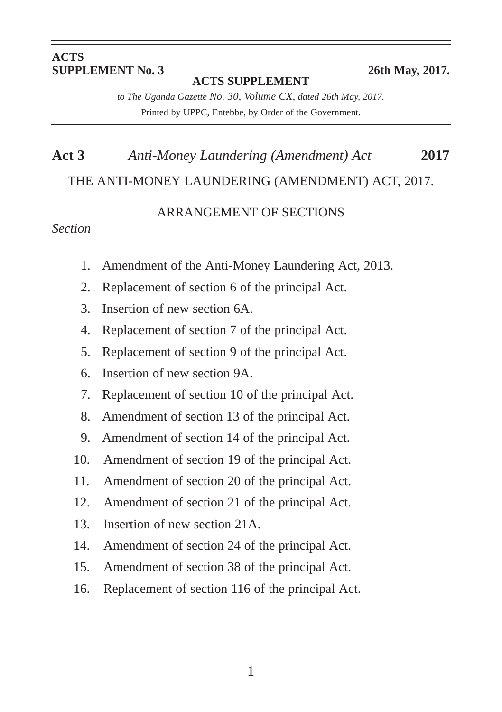#### **ACTS SUPPLEMENT No. 3** 26th May, 2017.

**ACTS SUPPLEMENT**

*to The Uganda Gazette No. 30, Volume CX, dated 26th May, 2017.* Printed by UPPC, Entebbe, by Order of the Government.

# **Act 3** *Anti-Money Laundering (Amendment) Act* **2017** THE ANTI-MONEY LAUNDERING (AMENDMENT) ACT, 2017.

#### ARRANGEMENT OF SECTIONS

#### *Section*

- 1. Amendment of the Anti-Money Laundering Act, 2013.
- 2. Replacement of section 6 of the principal Act.
- 3. Insertion of new section 6A.
- 4. Replacement of section 7 of the principal Act.
- 5. Replacement of section 9 of the principal Act.
- 6. Insertion of new section 9A.
- 7. Replacement of section 10 of the principal Act.
- 8. Amendment of section 13 of the principal Act.
- 9. Amendment of section 14 of the principal Act.
- 10. Amendment of section 19 of the principal Act.
- 11. Amendment of section 20 of the principal Act.
- 12. Amendment of section 21 of the principal Act.
- 13. Insertion of new section 21A.
- 14. Amendment of section 24 of the principal Act.
- 15. Amendment of section 38 of the principal Act.
- 16. Replacement of section 116 of the principal Act.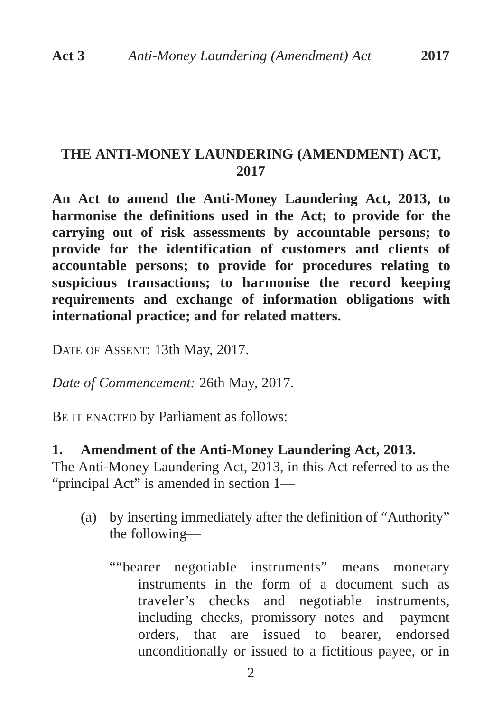### **THE ANTI-MONEY LAUNDERING (AMENDMENT) ACT, 2017**

**An Act to amend the Anti-Money Laundering Act, 2013, to harmonise the definitions used in the Act; to provide for the carrying out of risk assessments by accountable persons; to provide for the identification of customers and clients of accountable persons; to provide for procedures relating to suspicious transactions; to harmonise the record keeping requirements and exchange of information obligations with international practice; and for related matters.**

DATE OF ASSENT: 13th May, 2017.

*Date of Commencement:* 26th May, 2017.

BE IT ENACTED by Parliament as follows:

#### **1. Amendment of the Anti-Money Laundering Act, 2013.**

The Anti-Money Laundering Act, 2013, in this Act referred to as the "principal Act" is amended in section 1—

- (a) by inserting immediately after the definition of "Authority" the following—
	- ""bearer negotiable instruments" means monetary instruments in the form of a document such as traveler's checks and negotiable instruments, including checks, promissory notes and payment orders, that are issued to bearer, endorsed unconditionally or issued to a fictitious payee, or in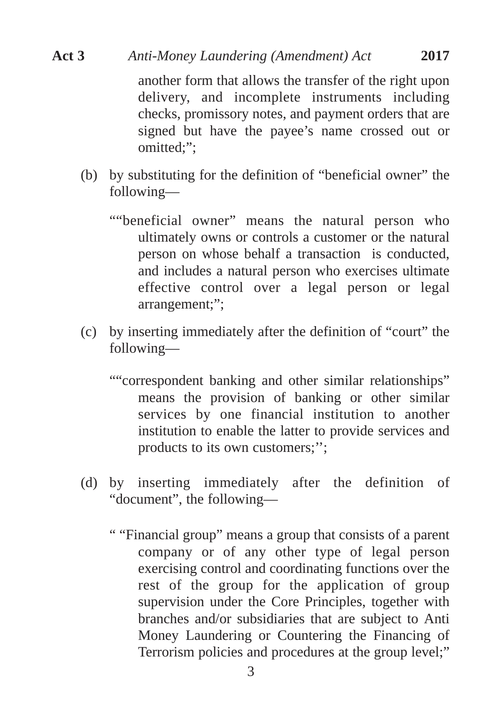another form that allows the transfer of the right upon delivery, and incomplete instruments including checks, promissory notes, and payment orders that are signed but have the payee's name crossed out or omitted;";

- (b) by substituting for the definition of "beneficial owner" the following—
	- ""beneficial owner" means the natural person who ultimately owns or controls a customer or the natural person on whose behalf a transaction is conducted, and includes a natural person who exercises ultimate effective control over a legal person or legal arrangement;";
- (c) by inserting immediately after the definition of "court" the following—
	- ""correspondent banking and other similar relationships" means the provision of banking or other similar services by one financial institution to another institution to enable the latter to provide services and products to its own customers;'';
- (d) by inserting immediately after the definition of "document", the following—
	- " "Financial group" means a group that consists of a parent company or of any other type of legal person exercising control and coordinating functions over the rest of the group for the application of group supervision under the Core Principles, together with branches and/or subsidiaries that are subject to Anti Money Laundering or Countering the Financing of Terrorism policies and procedures at the group level;"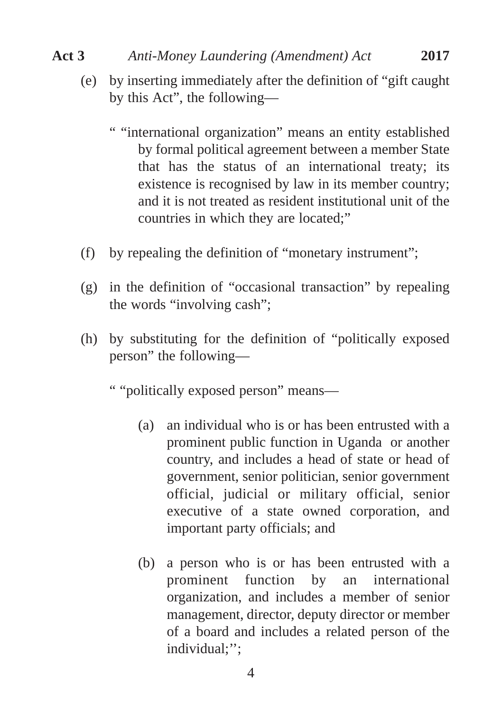- (e) by inserting immediately after the definition of "gift caught by this Act", the following—
	- " "international organization" means an entity established by formal political agreement between a member State that has the status of an international treaty; its existence is recognised by law in its member country; and it is not treated as resident institutional unit of the countries in which they are located;"
- (f) by repealing the definition of "monetary instrument";
- (g) in the definition of "occasional transaction" by repealing the words "involving cash";
- (h) by substituting for the definition of "politically exposed person" the following—

" "politically exposed person" means—

- (a) an individual who is or has been entrusted with a prominent public function in Uganda or another country, and includes a head of state or head of government, senior politician, senior government official, judicial or military official, senior executive of a state owned corporation, and important party officials; and
- (b) a person who is or has been entrusted with a prominent function by an international organization, and includes a member of senior management, director, deputy director or member of a board and includes a related person of the individual;'';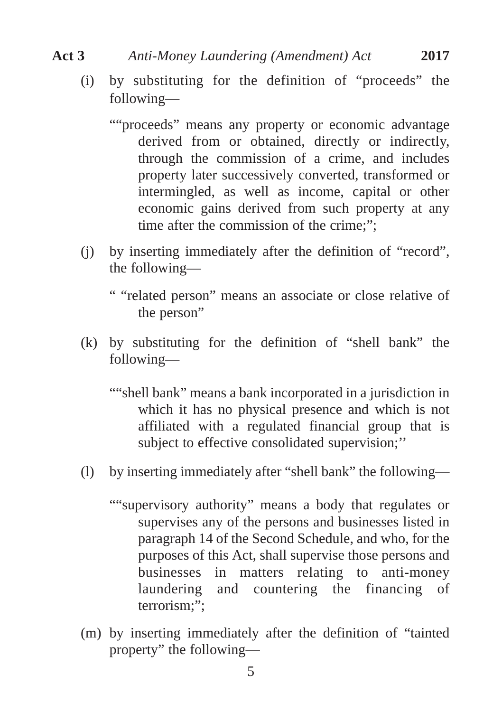- (i) by substituting for the definition of "proceeds" the following—
	- ""proceeds" means any property or economic advantage derived from or obtained, directly or indirectly, through the commission of a crime, and includes property later successively converted, transformed or intermingled, as well as income, capital or other economic gains derived from such property at any time after the commission of the crime;";
- (j) by inserting immediately after the definition of "record", the following—
	- " "related person" means an associate or close relative of the person"
- (k) by substituting for the definition of "shell bank" the following—
	- ""shell bank" means a bank incorporated in a jurisdiction in which it has no physical presence and which is not affiliated with a regulated financial group that is subject to effective consolidated supervision;''
- (l) by inserting immediately after "shell bank" the following—
	- ""supervisory authority" means a body that regulates or supervises any of the persons and businesses listed in paragraph 14 of the Second Schedule, and who, for the purposes of this Act, shall supervise those persons and businesses in matters relating to anti-money laundering and countering the financing of terrorism:":
- (m) by inserting immediately after the definition of "tainted property" the following—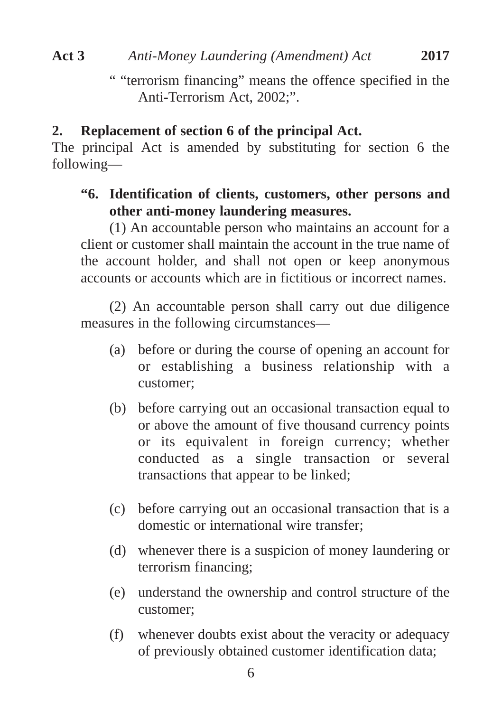" "terrorism financing" means the offence specified in the Anti-Terrorism Act, 2002;".

#### **2. Replacement of section 6 of the principal Act.**

The principal Act is amended by substituting for section 6 the following—

## **"6. Identification of clients, customers, other persons and other anti-money laundering measures.**

(1) An accountable person who maintains an account for a client or customer shall maintain the account in the true name of the account holder, and shall not open or keep anonymous accounts or accounts which are in fictitious or incorrect names.

(2) An accountable person shall carry out due diligence measures in the following circumstances—

- (a) before or during the course of opening an account for or establishing a business relationship with a customer;
- (b) before carrying out an occasional transaction equal to or above the amount of five thousand currency points or its equivalent in foreign currency; whether conducted as a single transaction or several transactions that appear to be linked;
- (c) before carrying out an occasional transaction that is a domestic or international wire transfer;
- (d) whenever there is a suspicion of money laundering or terrorism financing;
- (e) understand the ownership and control structure of the customer;
- (f) whenever doubts exist about the veracity or adequacy of previously obtained customer identification data;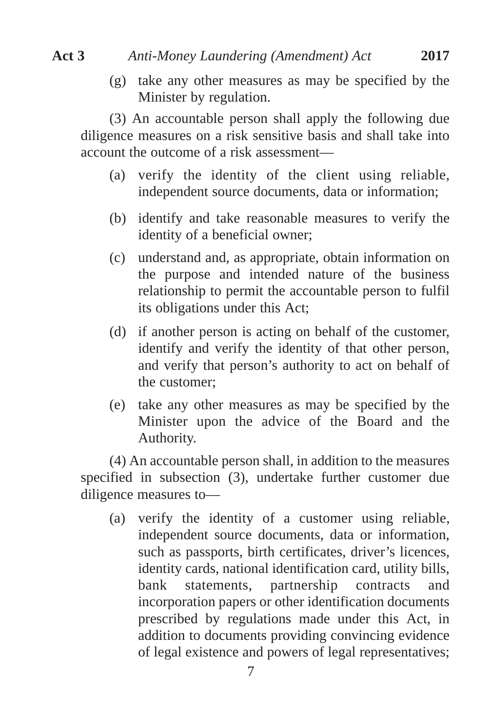(g) take any other measures as may be specified by the Minister by regulation.

(3) An accountable person shall apply the following due diligence measures on a risk sensitive basis and shall take into account the outcome of a risk assessment—

- (a) verify the identity of the client using reliable, independent source documents, data or information;
- (b) identify and take reasonable measures to verify the identity of a beneficial owner;
- (c) understand and, as appropriate, obtain information on the purpose and intended nature of the business relationship to permit the accountable person to fulfil its obligations under this Act;
- (d) if another person is acting on behalf of the customer, identify and verify the identity of that other person, and verify that person's authority to act on behalf of the customer;
- (e) take any other measures as may be specified by the Minister upon the advice of the Board and the Authority.

(4) An accountable person shall, in addition to the measures specified in subsection (3), undertake further customer due diligence measures to—

(a) verify the identity of a customer using reliable, independent source documents, data or information, such as passports, birth certificates, driver's licences, identity cards, national identification card, utility bills, bank statements, partnership contracts and incorporation papers or other identification documents prescribed by regulations made under this Act, in addition to documents providing convincing evidence of legal existence and powers of legal representatives;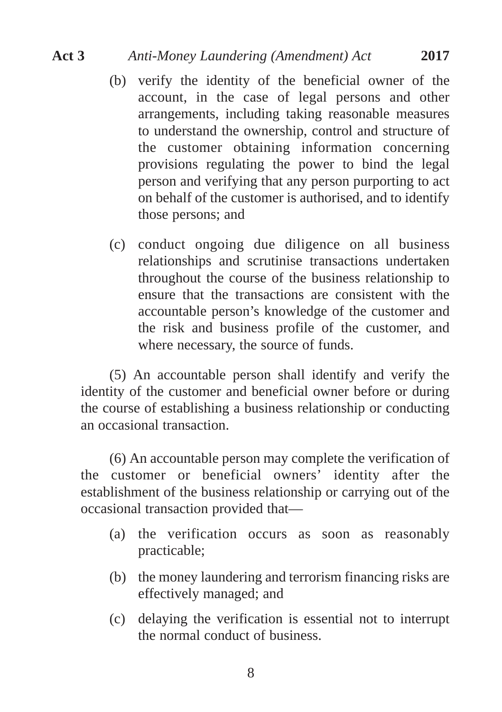- (b) verify the identity of the beneficial owner of the account, in the case of legal persons and other arrangements, including taking reasonable measures to understand the ownership, control and structure of the customer obtaining information concerning provisions regulating the power to bind the legal person and verifying that any person purporting to act on behalf of the customer is authorised, and to identify those persons; and
- (c) conduct ongoing due diligence on all business relationships and scrutinise transactions undertaken throughout the course of the business relationship to ensure that the transactions are consistent with the accountable person's knowledge of the customer and the risk and business profile of the customer, and where necessary, the source of funds.

(5) An accountable person shall identify and verify the identity of the customer and beneficial owner before or during the course of establishing a business relationship or conducting an occasional transaction.

(6) An accountable person may complete the verification of the customer or beneficial owners' identity after the establishment of the business relationship or carrying out of the occasional transaction provided that—

- (a) the verification occurs as soon as reasonably practicable;
- (b) the money laundering and terrorism financing risks are effectively managed; and
- (c) delaying the verification is essential not to interrupt the normal conduct of business.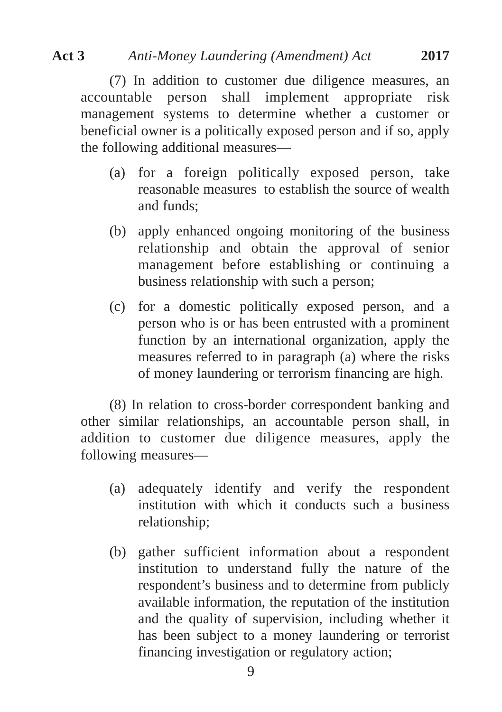(7) In addition to customer due diligence measures, an accountable person shall implement appropriate risk management systems to determine whether a customer or beneficial owner is a politically exposed person and if so, apply the following additional measures—

- (a) for a foreign politically exposed person, take reasonable measures to establish the source of wealth and funds;
- (b) apply enhanced ongoing monitoring of the business relationship and obtain the approval of senior management before establishing or continuing a business relationship with such a person;
- (c) for a domestic politically exposed person, and a person who is or has been entrusted with a prominent function by an international organization, apply the measures referred to in paragraph (a) where the risks of money laundering or terrorism financing are high.

(8) In relation to cross-border correspondent banking and other similar relationships, an accountable person shall, in addition to customer due diligence measures, apply the following measures—

- (a) adequately identify and verify the respondent institution with which it conducts such a business relationship;
- (b) gather sufficient information about a respondent institution to understand fully the nature of the respondent's business and to determine from publicly available information, the reputation of the institution and the quality of supervision, including whether it has been subject to a money laundering or terrorist financing investigation or regulatory action;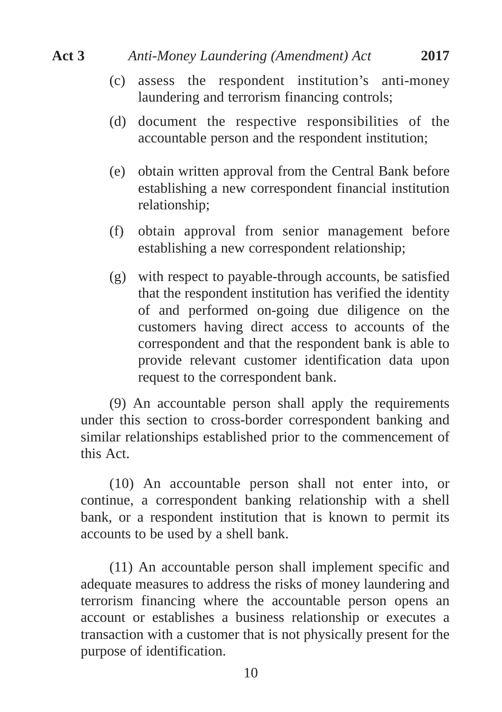- (c) assess the respondent institution's anti-money laundering and terrorism financing controls;
- (d) document the respective responsibilities of the accountable person and the respondent institution;
- (e) obtain written approval from the Central Bank before establishing a new correspondent financial institution relationship;
- (f) obtain approval from senior management before establishing a new correspondent relationship;
- (g) with respect to payable-through accounts, be satisfied that the respondent institution has verified the identity of and performed on-going due diligence on the customers having direct access to accounts of the correspondent and that the respondent bank is able to provide relevant customer identification data upon request to the correspondent bank.

(9) An accountable person shall apply the requirements under this section to cross-border correspondent banking and similar relationships established prior to the commencement of this Act.

(10) An accountable person shall not enter into, or continue, a correspondent banking relationship with a shell bank, or a respondent institution that is known to permit its accounts to be used by a shell bank.

(11) An accountable person shall implement specific and adequate measures to address the risks of money laundering and terrorism financing where the accountable person opens an account or establishes a business relationship or executes a transaction with a customer that is not physically present for the purpose of identification.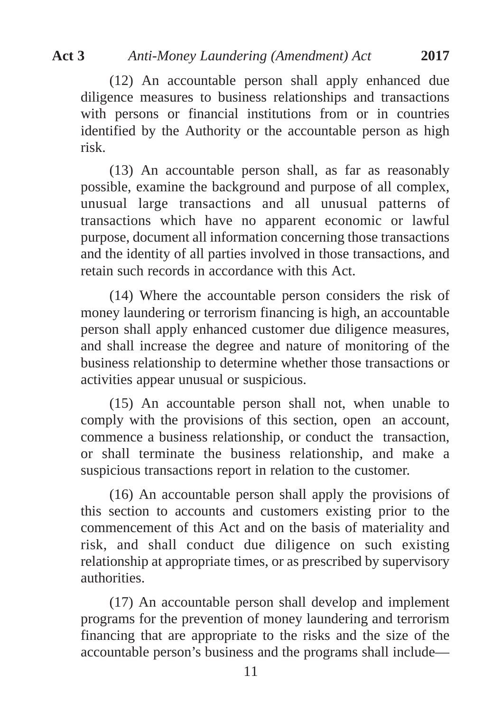(12) An accountable person shall apply enhanced due diligence measures to business relationships and transactions with persons or financial institutions from or in countries identified by the Authority or the accountable person as high risk.

(13) An accountable person shall, as far as reasonably possible, examine the background and purpose of all complex, unusual large transactions and all unusual patterns of transactions which have no apparent economic or lawful purpose, document all information concerning those transactions and the identity of all parties involved in those transactions, and retain such records in accordance with this Act.

(14) Where the accountable person considers the risk of money laundering or terrorism financing is high, an accountable person shall apply enhanced customer due diligence measures, and shall increase the degree and nature of monitoring of the business relationship to determine whether those transactions or activities appear unusual or suspicious.

(15) An accountable person shall not, when unable to comply with the provisions of this section, open an account, commence a business relationship, or conduct the transaction, or shall terminate the business relationship, and make a suspicious transactions report in relation to the customer.

(16) An accountable person shall apply the provisions of this section to accounts and customers existing prior to the commencement of this Act and on the basis of materiality and risk, and shall conduct due diligence on such existing relationship at appropriate times, or as prescribed by supervisory authorities.

(17) An accountable person shall develop and implement programs for the prevention of money laundering and terrorism financing that are appropriate to the risks and the size of the accountable person's business and the programs shall include—

11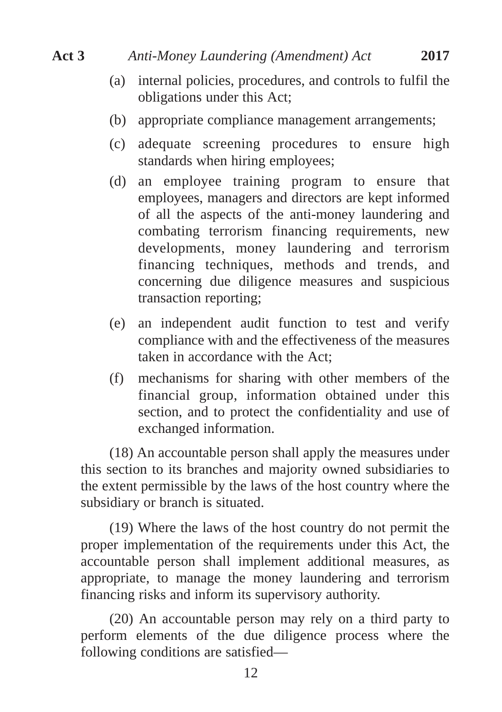- (a) internal policies, procedures, and controls to fulfil the obligations under this Act;
- (b) appropriate compliance management arrangements;
- (c) adequate screening procedures to ensure high standards when hiring employees;
- (d) an employee training program to ensure that employees, managers and directors are kept informed of all the aspects of the anti-money laundering and combating terrorism financing requirements, new developments, money laundering and terrorism financing techniques, methods and trends, and concerning due diligence measures and suspicious transaction reporting;
- (e) an independent audit function to test and verify compliance with and the effectiveness of the measures taken in accordance with the Act;
- (f) mechanisms for sharing with other members of the financial group, information obtained under this section, and to protect the confidentiality and use of exchanged information.

(18) An accountable person shall apply the measures under this section to its branches and majority owned subsidiaries to the extent permissible by the laws of the host country where the subsidiary or branch is situated.

(19) Where the laws of the host country do not permit the proper implementation of the requirements under this Act, the accountable person shall implement additional measures, as appropriate, to manage the money laundering and terrorism financing risks and inform its supervisory authority.

(20) An accountable person may rely on a third party to perform elements of the due diligence process where the following conditions are satisfied—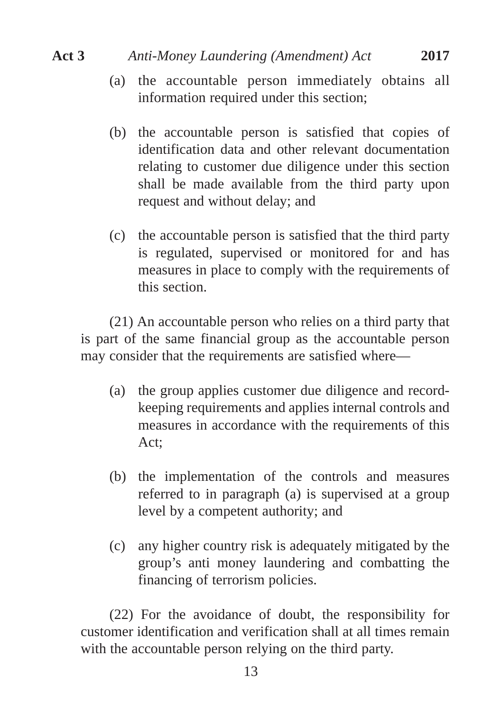- (a) the accountable person immediately obtains all information required under this section;
- (b) the accountable person is satisfied that copies of identification data and other relevant documentation relating to customer due diligence under this section shall be made available from the third party upon request and without delay; and
- (c) the accountable person is satisfied that the third party is regulated, supervised or monitored for and has measures in place to comply with the requirements of this section.

(21) An accountable person who relies on a third party that is part of the same financial group as the accountable person may consider that the requirements are satisfied where—

- (a) the group applies customer due diligence and recordkeeping requirements and applies internal controls and measures in accordance with the requirements of this Act;
- (b) the implementation of the controls and measures referred to in paragraph (a) is supervised at a group level by a competent authority; and
- (c) any higher country risk is adequately mitigated by the group's anti money laundering and combatting the financing of terrorism policies.

(22) For the avoidance of doubt, the responsibility for customer identification and verification shall at all times remain with the accountable person relying on the third party.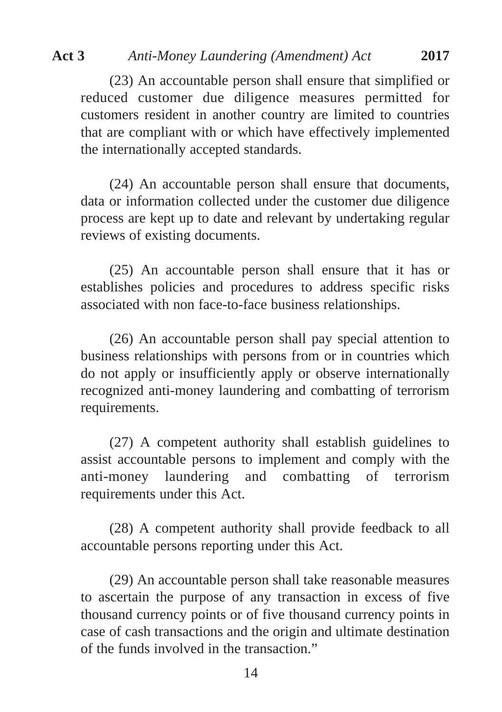(23) An accountable person shall ensure that simplified or reduced customer due diligence measures permitted for customers resident in another country are limited to countries that are compliant with or which have effectively implemented the internationally accepted standards.

(24) An accountable person shall ensure that documents, data or information collected under the customer due diligence process are kept up to date and relevant by undertaking regular reviews of existing documents.

(25) An accountable person shall ensure that it has or establishes policies and procedures to address specific risks associated with non face-to-face business relationships.

(26) An accountable person shall pay special attention to business relationships with persons from or in countries which do not apply or insufficiently apply or observe internationally recognized anti-money laundering and combatting of terrorism requirements.

(27) A competent authority shall establish guidelines to assist accountable persons to implement and comply with the anti-money laundering and combatting of terrorism requirements under this Act.

(28) A competent authority shall provide feedback to all accountable persons reporting under this Act.

(29) An accountable person shall take reasonable measures to ascertain the purpose of any transaction in excess of five thousand currency points or of five thousand currency points in case of cash transactions and the origin and ultimate destination of the funds involved in the transaction."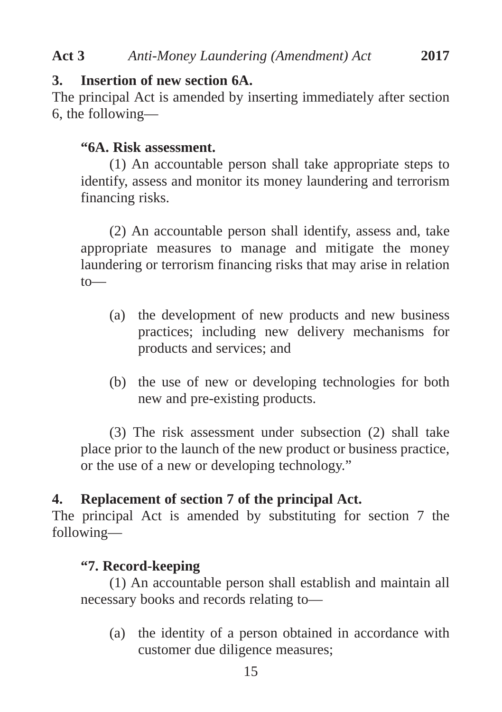## **3. Insertion of new section 6A.**

The principal Act is amended by inserting immediately after section 6, the following—

## **"6A. Risk assessment.**

(1) An accountable person shall take appropriate steps to identify, assess and monitor its money laundering and terrorism financing risks.

(2) An accountable person shall identify, assess and, take appropriate measures to manage and mitigate the money laundering or terrorism financing risks that may arise in relation to—

- (a) the development of new products and new business practices; including new delivery mechanisms for products and services; and
- (b) the use of new or developing technologies for both new and pre-existing products.

(3) The risk assessment under subsection (2) shall take place prior to the launch of the new product or business practice, or the use of a new or developing technology."

## **4. Replacement of section 7 of the principal Act.**

The principal Act is amended by substituting for section 7 the following—

## **"7. Record-keeping**

(1) An accountable person shall establish and maintain all necessary books and records relating to—

(a) the identity of a person obtained in accordance with customer due diligence measures;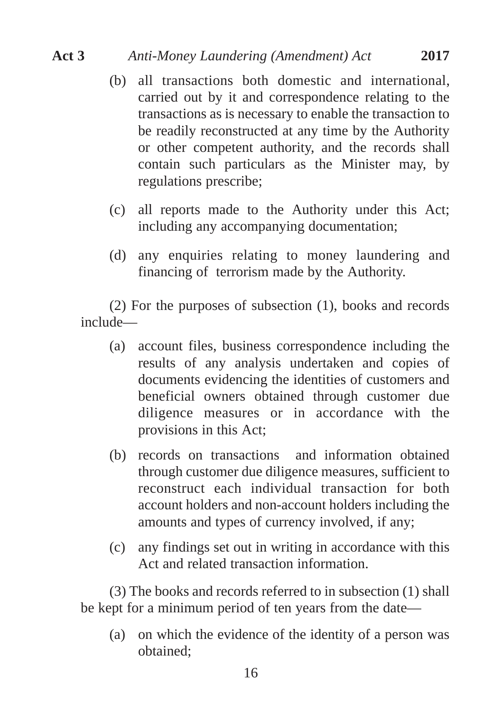- (b) all transactions both domestic and international, carried out by it and correspondence relating to the transactions as is necessary to enable the transaction to be readily reconstructed at any time by the Authority or other competent authority, and the records shall contain such particulars as the Minister may, by regulations prescribe;
- (c) all reports made to the Authority under this Act; including any accompanying documentation;
- (d) any enquiries relating to money laundering and financing of terrorism made by the Authority.

(2) For the purposes of subsection (1), books and records include—

- (a) account files, business correspondence including the results of any analysis undertaken and copies of documents evidencing the identities of customers and beneficial owners obtained through customer due diligence measures or in accordance with the provisions in this Act;
- (b) records on transactions and information obtained through customer due diligence measures, sufficient to reconstruct each individual transaction for both account holders and non-account holders including the amounts and types of currency involved, if any;
- (c) any findings set out in writing in accordance with this Act and related transaction information.

(3) The books and records referred to in subsection (1) shall be kept for a minimum period of ten years from the date—

(a) on which the evidence of the identity of a person was obtained;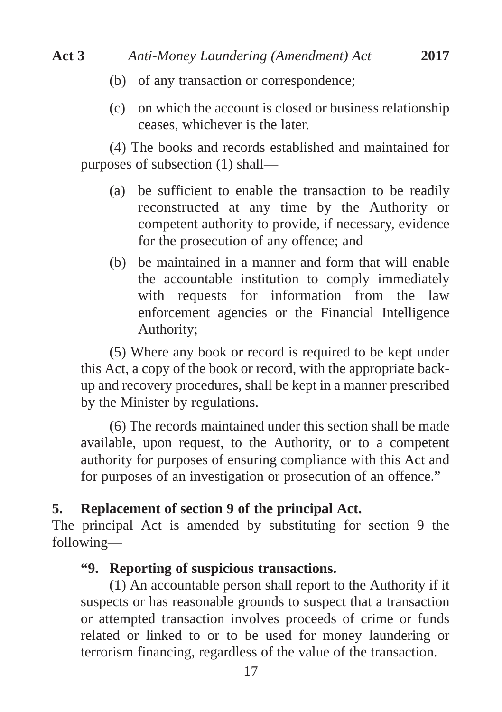- (b) of any transaction or correspondence;
- (c) on which the account is closed or business relationship ceases, whichever is the later.

(4) The books and records established and maintained for purposes of subsection (1) shall—

- (a) be sufficient to enable the transaction to be readily reconstructed at any time by the Authority or competent authority to provide, if necessary, evidence for the prosecution of any offence; and
- (b) be maintained in a manner and form that will enable the accountable institution to comply immediately with requests for information from the law enforcement agencies or the Financial Intelligence Authority;

(5) Where any book or record is required to be kept under this Act, a copy of the book or record, with the appropriate backup and recovery procedures, shall be kept in a manner prescribed by the Minister by regulations.

(6) The records maintained under this section shall be made available, upon request, to the Authority, or to a competent authority for purposes of ensuring compliance with this Act and for purposes of an investigation or prosecution of an offence."

### **5. Replacement of section 9 of the principal Act.**

The principal Act is amended by substituting for section 9 the following—

#### **"9. Reporting of suspicious transactions.**

(1) An accountable person shall report to the Authority if it suspects or has reasonable grounds to suspect that a transaction or attempted transaction involves proceeds of crime or funds related or linked to or to be used for money laundering or terrorism financing, regardless of the value of the transaction.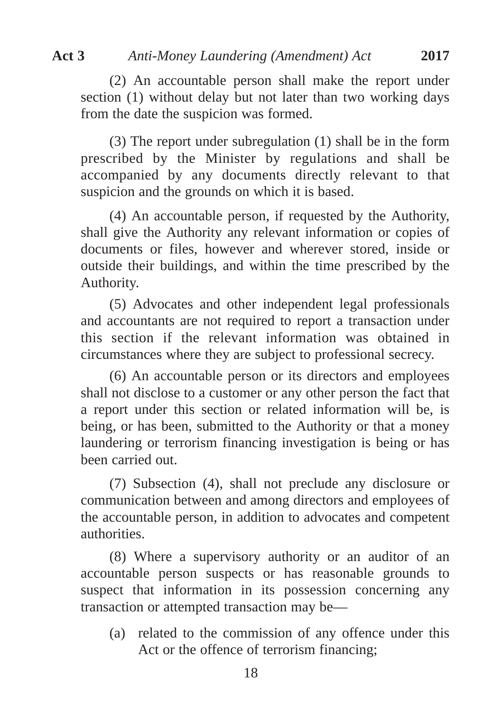(2) An accountable person shall make the report under section (1) without delay but not later than two working days from the date the suspicion was formed.

(3) The report under subregulation (1) shall be in the form prescribed by the Minister by regulations and shall be accompanied by any documents directly relevant to that suspicion and the grounds on which it is based.

(4) An accountable person, if requested by the Authority, shall give the Authority any relevant information or copies of documents or files, however and wherever stored, inside or outside their buildings, and within the time prescribed by the Authority.

(5) Advocates and other independent legal professionals and accountants are not required to report a transaction under this section if the relevant information was obtained in circumstances where they are subject to professional secrecy.

(6) An accountable person or its directors and employees shall not disclose to a customer or any other person the fact that a report under this section or related information will be, is being, or has been, submitted to the Authority or that a money laundering or terrorism financing investigation is being or has been carried out.

(7) Subsection (4), shall not preclude any disclosure or communication between and among directors and employees of the accountable person, in addition to advocates and competent authorities.

(8) Where a supervisory authority or an auditor of an accountable person suspects or has reasonable grounds to suspect that information in its possession concerning any transaction or attempted transaction may be—

(a) related to the commission of any offence under this Act or the offence of terrorism financing;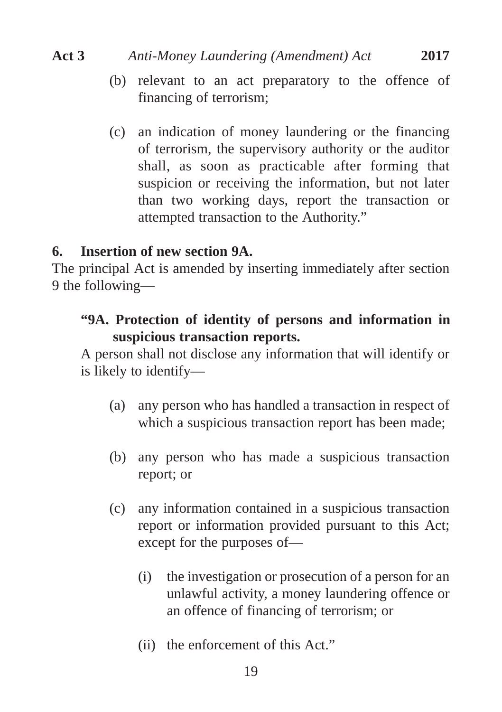- (b) relevant to an act preparatory to the offence of financing of terrorism;
- (c) an indication of money laundering or the financing of terrorism, the supervisory authority or the auditor shall, as soon as practicable after forming that suspicion or receiving the information, but not later than two working days, report the transaction or attempted transaction to the Authority."

#### **6. Insertion of new section 9A.**

The principal Act is amended by inserting immediately after section 9 the following—

## **"9A. Protection of identity of persons and information in suspicious transaction reports.**

A person shall not disclose any information that will identify or is likely to identify—

- (a) any person who has handled a transaction in respect of which a suspicious transaction report has been made;
- (b) any person who has made a suspicious transaction report; or
- (c) any information contained in a suspicious transaction report or information provided pursuant to this Act; except for the purposes of—
	- (i) the investigation or prosecution of a person for an unlawful activity, a money laundering offence or an offence of financing of terrorism; or
	- (ii) the enforcement of this Act."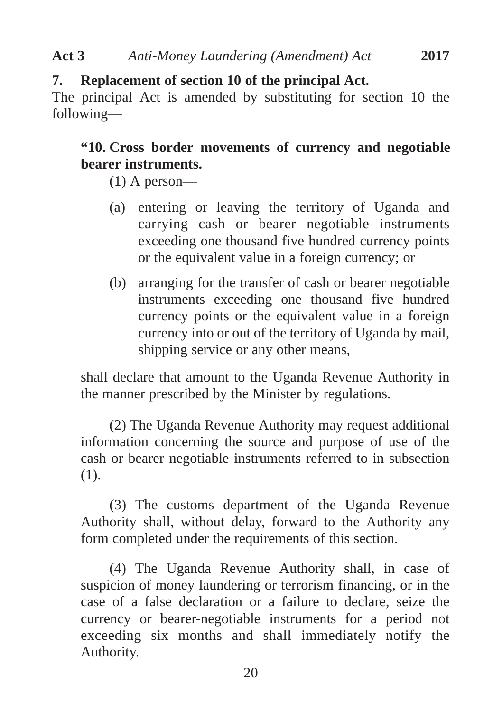## **7. Replacement of section 10 of the principal Act.**

The principal Act is amended by substituting for section 10 the following—

## **"10. Cross border movements of currency and negotiable bearer instruments.**

- (1) A person—
- (a) entering or leaving the territory of Uganda and carrying cash or bearer negotiable instruments exceeding one thousand five hundred currency points or the equivalent value in a foreign currency; or
- (b) arranging for the transfer of cash or bearer negotiable instruments exceeding one thousand five hundred currency points or the equivalent value in a foreign currency into or out of the territory of Uganda by mail, shipping service or any other means,

shall declare that amount to the Uganda Revenue Authority in the manner prescribed by the Minister by regulations.

(2) The Uganda Revenue Authority may request additional information concerning the source and purpose of use of the cash or bearer negotiable instruments referred to in subsection (1).

(3) The customs department of the Uganda Revenue Authority shall, without delay, forward to the Authority any form completed under the requirements of this section.

(4) The Uganda Revenue Authority shall, in case of suspicion of money laundering or terrorism financing, or in the case of a false declaration or a failure to declare, seize the currency or bearer-negotiable instruments for a period not exceeding six months and shall immediately notify the Authority.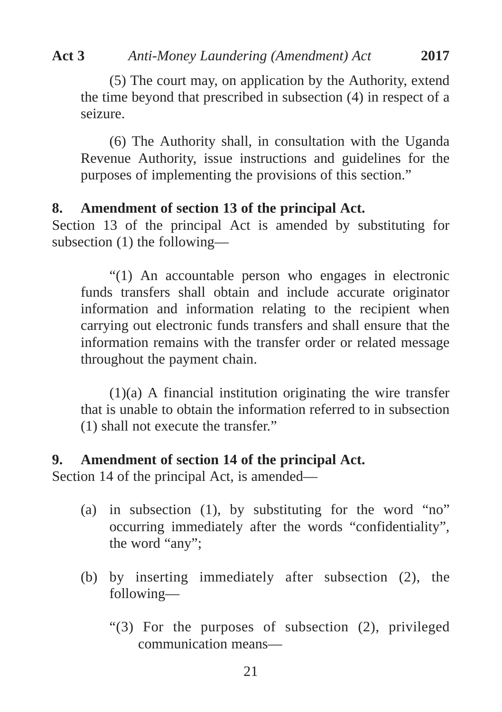(5) The court may, on application by the Authority, extend the time beyond that prescribed in subsection (4) in respect of a seizure.

(6) The Authority shall, in consultation with the Uganda Revenue Authority, issue instructions and guidelines for the purposes of implementing the provisions of this section."

## **8. Amendment of section 13 of the principal Act.**

Section 13 of the principal Act is amended by substituting for subsection (1) the following—

"(1) An accountable person who engages in electronic funds transfers shall obtain and include accurate originator information and information relating to the recipient when carrying out electronic funds transfers and shall ensure that the information remains with the transfer order or related message throughout the payment chain.

 $(1)(a)$  A financial institution originating the wire transfer that is unable to obtain the information referred to in subsection (1) shall not execute the transfer."

## **9. Amendment of section 14 of the principal Act.**

Section 14 of the principal Act, is amended—

- (a) in subsection (1), by substituting for the word "no" occurring immediately after the words "confidentiality", the word "any";
- (b) by inserting immediately after subsection (2), the following—
	- "(3) For the purposes of subsection (2), privileged communication means—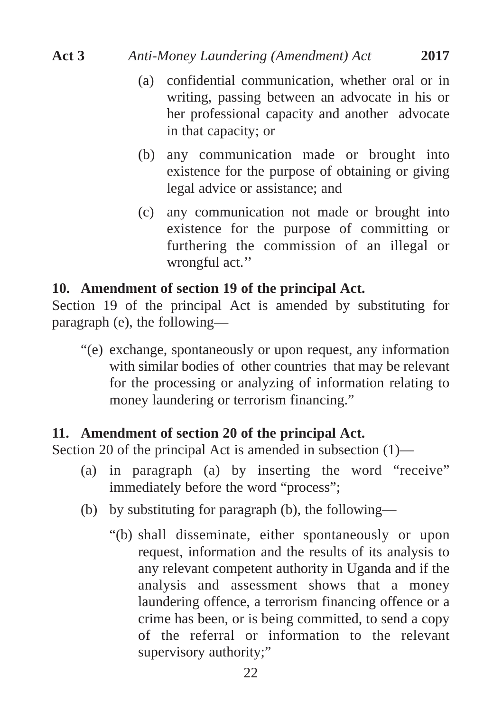- (a) confidential communication, whether oral or in writing, passing between an advocate in his or her professional capacity and another advocate in that capacity; or
- (b) any communication made or brought into existence for the purpose of obtaining or giving legal advice or assistance; and
- (c) any communication not made or brought into existence for the purpose of committing or furthering the commission of an illegal or wrongful act.''

#### **10. Amendment of section 19 of the principal Act.**

Section 19 of the principal Act is amended by substituting for paragraph (e), the following—

"(e) exchange, spontaneously or upon request, any information with similar bodies of other countries that may be relevant for the processing or analyzing of information relating to money laundering or terrorism financing."

#### **11. Amendment of section 20 of the principal Act.**

Section 20 of the principal Act is amended in subsection (1)—

- (a) in paragraph (a) by inserting the word "receive" immediately before the word "process";
- (b) by substituting for paragraph (b), the following—
	- "(b) shall disseminate, either spontaneously or upon request, information and the results of its analysis to any relevant competent authority in Uganda and if the analysis and assessment shows that a money laundering offence, a terrorism financing offence or a crime has been, or is being committed, to send a copy of the referral or information to the relevant supervisory authority;"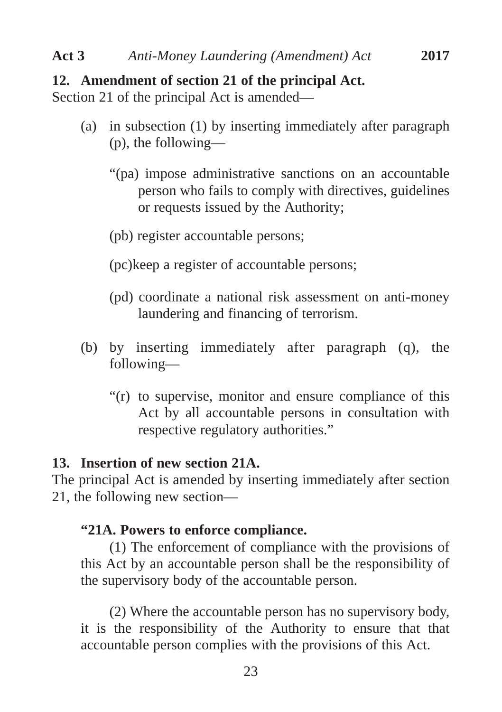#### **12. Amendment of section 21 of the principal Act.**

Section 21 of the principal Act is amended—

- (a) in subsection (1) by inserting immediately after paragraph (p), the following—
	- "(pa) impose administrative sanctions on an accountable person who fails to comply with directives, guidelines or requests issued by the Authority;
	- (pb) register accountable persons;
	- (pc)keep a register of accountable persons;
	- (pd) coordinate a national risk assessment on anti-money laundering and financing of terrorism.
- (b) by inserting immediately after paragraph (q), the following—
	- "(r) to supervise, monitor and ensure compliance of this Act by all accountable persons in consultation with respective regulatory authorities."

#### **13. Insertion of new section 21A.**

The principal Act is amended by inserting immediately after section 21, the following new section—

### **"21A. Powers to enforce compliance.**

(1) The enforcement of compliance with the provisions of this Act by an accountable person shall be the responsibility of the supervisory body of the accountable person.

(2) Where the accountable person has no supervisory body, it is the responsibility of the Authority to ensure that that accountable person complies with the provisions of this Act.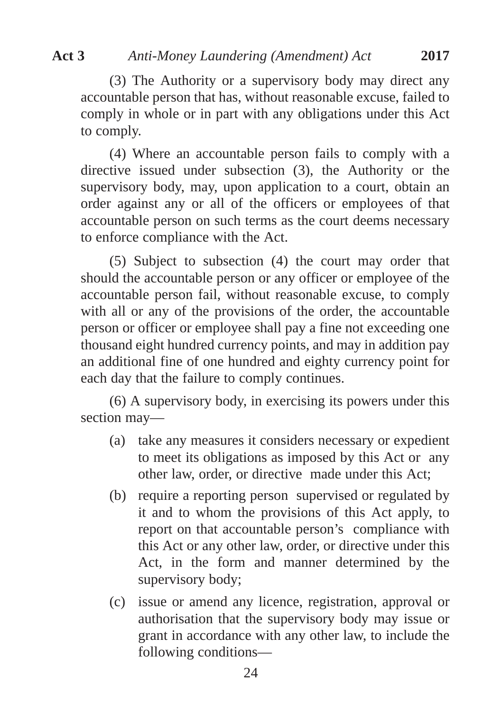(3) The Authority or a supervisory body may direct any accountable person that has, without reasonable excuse, failed to comply in whole or in part with any obligations under this Act to comply.

(4) Where an accountable person fails to comply with a directive issued under subsection (3), the Authority or the supervisory body, may, upon application to a court, obtain an order against any or all of the officers or employees of that accountable person on such terms as the court deems necessary to enforce compliance with the Act.

(5) Subject to subsection (4) the court may order that should the accountable person or any officer or employee of the accountable person fail, without reasonable excuse, to comply with all or any of the provisions of the order, the accountable person or officer or employee shall pay a fine not exceeding one thousand eight hundred currency points, and may in addition pay an additional fine of one hundred and eighty currency point for each day that the failure to comply continues.

(6) A supervisory body, in exercising its powers under this section may—

- (a) take any measures it considers necessary or expedient to meet its obligations as imposed by this Act or any other law, order, or directive made under this Act;
- (b) require a reporting person supervised or regulated by it and to whom the provisions of this Act apply, to report on that accountable person's compliance with this Act or any other law, order, or directive under this Act, in the form and manner determined by the supervisory body;
- (c) issue or amend any licence, registration, approval or authorisation that the supervisory body may issue or grant in accordance with any other law, to include the following conditions—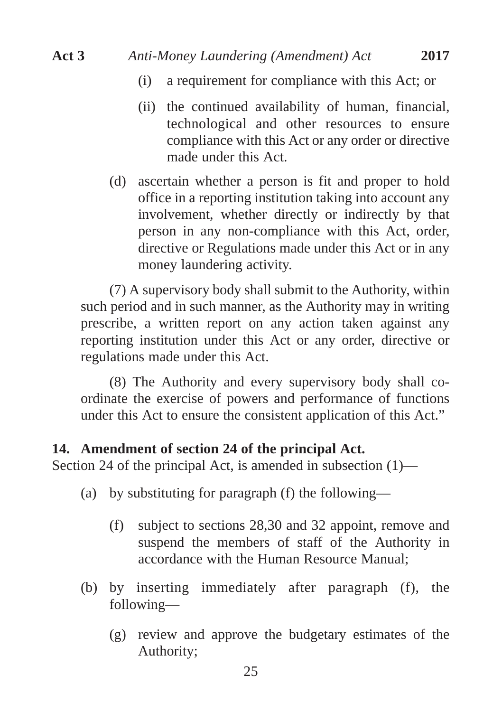- (i) a requirement for compliance with this Act; or
- (ii) the continued availability of human, financial, technological and other resources to ensure compliance with this Act or any order or directive made under this Act.
- (d) ascertain whether a person is fit and proper to hold office in a reporting institution taking into account any involvement, whether directly or indirectly by that person in any non-compliance with this Act, order, directive or Regulations made under this Act or in any money laundering activity.

(7) A supervisory body shall submit to the Authority, within such period and in such manner, as the Authority may in writing prescribe, a written report on any action taken against any reporting institution under this Act or any order, directive or regulations made under this Act.

(8) The Authority and every supervisory body shall coordinate the exercise of powers and performance of functions under this Act to ensure the consistent application of this Act."

#### **14. Amendment of section 24 of the principal Act.**

Section 24 of the principal Act, is amended in subsection (1)—

- (a) by substituting for paragraph (f) the following—
	- (f) subject to sections 28,30 and 32 appoint, remove and suspend the members of staff of the Authority in accordance with the Human Resource Manual;
- (b) by inserting immediately after paragraph (f), the following—
	- (g) review and approve the budgetary estimates of the Authority;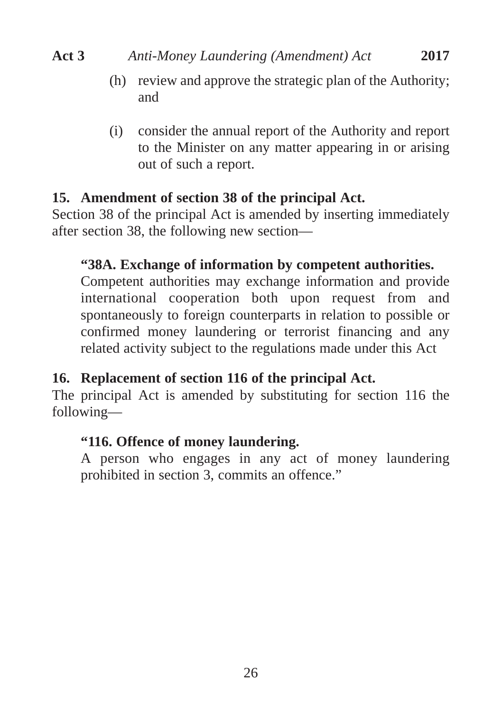- (h) review and approve the strategic plan of the Authority; and
- (i) consider the annual report of the Authority and report to the Minister on any matter appearing in or arising out of such a report.

## **15. Amendment of section 38 of the principal Act.**

Section 38 of the principal Act is amended by inserting immediately after section 38, the following new section—

## **"38A. Exchange of information by competent authorities.**

Competent authorities may exchange information and provide international cooperation both upon request from and spontaneously to foreign counterparts in relation to possible or confirmed money laundering or terrorist financing and any related activity subject to the regulations made under this Act

## **16. Replacement of section 116 of the principal Act.**

The principal Act is amended by substituting for section 116 the following—

## **"116. Offence of money laundering.**

A person who engages in any act of money laundering prohibited in section 3, commits an offence."